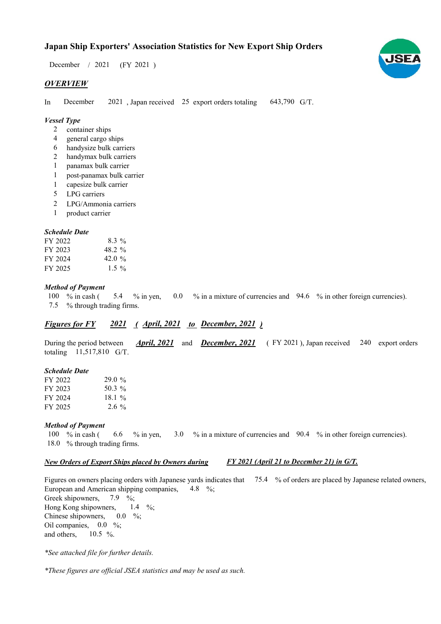$/ 2021$  (FY 2021) December / 2021

# *OVERVIEW*

In December 2021, Japan received 25 export orders totaling 643,790 G/T. December

### *Vessel Type*

- 2 container ships
- general cargo ships 4
- handysize bulk carriers 6
- handymax bulk carriers 2
- panamax bulk carrier 1
- post-panamax bulk carrier 1
- capesize bulk carrier 1
- LPG carriers 5
- LPG/Ammonia carriers 2
- product carrier 1

### *Schedule Date*

| FY 2022 | $8.3\%$   |
|---------|-----------|
| FY 2023 | 48.2 %    |
| FY 2024 | 42.0 $\%$ |
| FY 2025 | $1.5\%$   |

### *Method of Payment*

% in cash ( $\frac{5.4}{8}$  % in yen, 0.0 % in a mixture of currencies and 94.6 % in other foreign currencies). % through trading firms. 100 % in cash ( 5.4 7.5

# *Figures for FY* 2021 (*April, 2021 to December, 2021*)

During the period between *April, 2021* and *December, 2021* (FY 2021), Japan received 240 export orders totaling  $11,517,810$  G/T. *December, 2021 April, 2021*

#### *Schedule Date*

| FY 2022 | 29.0%    |
|---------|----------|
| FY 2023 | 50.3 $%$ |
| FY 2024 | 18.1%    |
| FY 2025 | $2.6\%$  |

#### *Method of Payment*

% in cash ( $\qquad 6.6 \qquad$ % in yen,  $\qquad 3.0 \qquad$ % in a mixture of currencies and  $\qquad 90.4 \qquad$ % in other foreign currencies). 18.0 % through trading firms. 6.6 100  $%$  in cash (

### *New Orders of Export Ships placed by Owners during*

*FY 2021 (April 21 to December 21) in G/T.*

Figures on owners placing orders with Japanese yards indicates that 75.4 % of orders are placed by Japanese related owners, European and American shipping companies, Greek shipowners, Hong Kong shipowners, Chinese shipowners, Oil companies,  $0.0\%$ ; and others, 4.8  $\%$ ; 7.9  $\%$ ; 10.5  $\%$ .  $0.0\quad\%$ 1.4  $\%$ 

*\*See attached file for further details.*

*\*These figures are official JSEA statistics and may be used as such.*

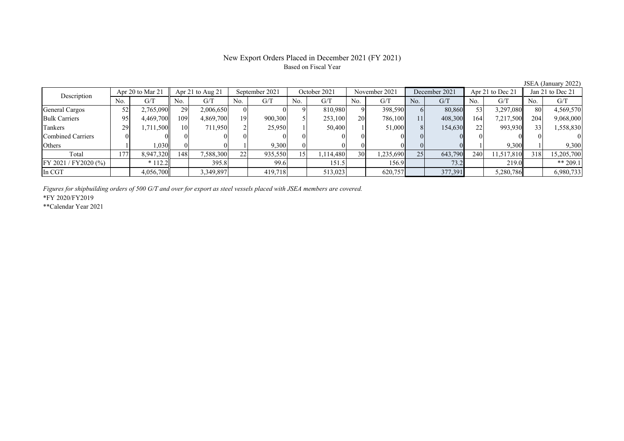### New Export Orders Placed in December 2021 (FY 2021) Based on Fiscal Year

No. G/T No. G/T No. G/T No. G/T No. G/T No. G/T No. G/T No. G/T $G/T$ General Cargos | 52 | 2,765,090 || 29 | 2,006,650 | 0 | 0 | 810,980 | 9 | 398,590 | 6 | 80,860 | 53 | 3,297,080 || 80 | 4,569,570 Bulk Carriers 95 4,469,700 109 4,869,700 19 900,300 5 253,100 20 786,100 11 408,300 164 7,217,500 204 9,068,000 Tankers | 29 1,711,500 10 711,950 2 25,950 1 50,400 1 51,000 8 154,630 22 993,930 33 1,558,830 Combined Carriers 0 0 0 0 0 0 0 0 0 0 0 0 0 0 0 0Others 1 1 1,030 0 0 1 9,300 0 0 0 0 0 0 1 9,300 1 9,300 Total | 177 | 8,947,320 || 148 | 7,588,300 | 22 | 935,550 | 15 | 1,114,480 | 30 | 1,235,690 | 25 | 643,790 | 240 | 11,517,810 || 318 | 15,205,700 FY 2021 / FY2020 (%) \* 112.2 395.8 99.6 151.5 156.9 73.2 219.0 \*\* 209.1 In CGT 4,056,700 3,349,897 419,718 513,023 620,757 377,391 5,280,786 6,980,733 Apr 21 to Aug 21 September 2021 October 2021 Description Apr 20 to Mar 21 November 2021 December 2021 Apr 21 to Dec 21 Jan 21 to Dec 21

*Figures for shipbuilding orders of 500 G/T and over for export as steel vessels placed with JSEA members are covered.*

\*FY 2020/FY2019

\*\*Calendar Year 2021

JSEA (January 2022)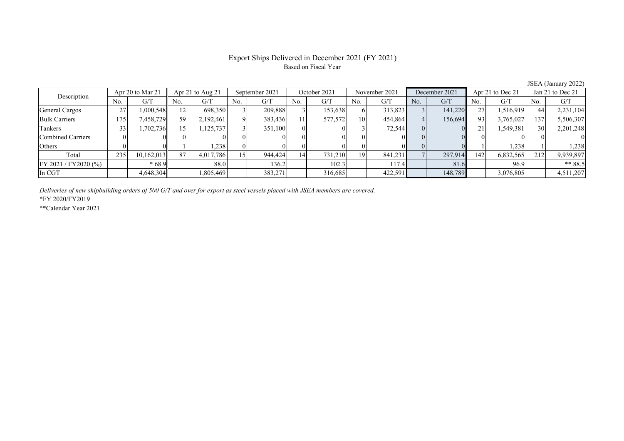# Export Ships Delivered in December 2021 (FY 2021) Based on Fiscal Year

JSEA (January 2022)

| Description           | Apr 20 to Mar 21 |            | Apr 21 to Aug 21 |           | September 2021 |         | October 2021 |         | November 2021 |         | December 2021 |         | Apr 21 to Dec 21 |           | Jan 21 to Dec 21 |           |
|-----------------------|------------------|------------|------------------|-----------|----------------|---------|--------------|---------|---------------|---------|---------------|---------|------------------|-----------|------------------|-----------|
|                       | No.              | G/T        | No.              | G/T       | No.            | G/T     | No.          | G/T     | No.           | G/T     | No.           | G/T     | No.              | G/T       | No.              | G/T       |
| <b>General Cargos</b> | 27               | 1.000.548  | 12.              | 698,350   |                | 209,888 |              | 153,638 |               | 313,823 |               | 141,220 | 27               | 1,516,919 | 44               | 2,231,104 |
| <b>Bulk Carriers</b>  | 175              | 7,458,729  | 59               | 2,192,461 |                | 383,436 |              | 577,572 | 10            | 454,864 |               | 156,694 | 93               | 3,765,027 | 137              | 5,506,307 |
| Tankers               |                  | 1,702,736  | 15.              | 1,125,737 |                | 351,100 |              |         |               | 72,544  |               |         | 21               | 1,549,381 | 30               | 2,201,248 |
| Combined Carriers     |                  |            |                  |           |                |         |              |         |               |         |               |         |                  |           |                  |           |
| <b>Others</b>         |                  |            |                  | 1,238     |                |         |              |         |               |         |               |         |                  | 1,238     |                  | 1,238     |
| Total                 | 235              | 10,162,013 | 87               | 4,017,786 | 15             | 944,424 |              | 731,210 | 19            | 841,231 |               | 297,914 | 142              | 6,832,565 | 212              | 9,939,897 |
| FY 2021 / FY2020 (%)  |                  | $*68.9$    |                  | 88.0      |                | 136.2   |              | 102.3   |               | 117.4   |               | 81.6    |                  | 96.9      |                  | ** $88.5$ |
| In CGT                |                  | 4,648,304  |                  | 1,805,469 |                | 383,271 |              | 316,685 |               | 422,591 |               | 148,789 |                  | 3,076,805 |                  | 4,511,207 |

*Deliveries of new shipbuilding orders of 500 G/T and over for export as steel vessels placed with JSEA members are covered.*

\*FY 2020/FY2019

\*\*Calendar Year 2021